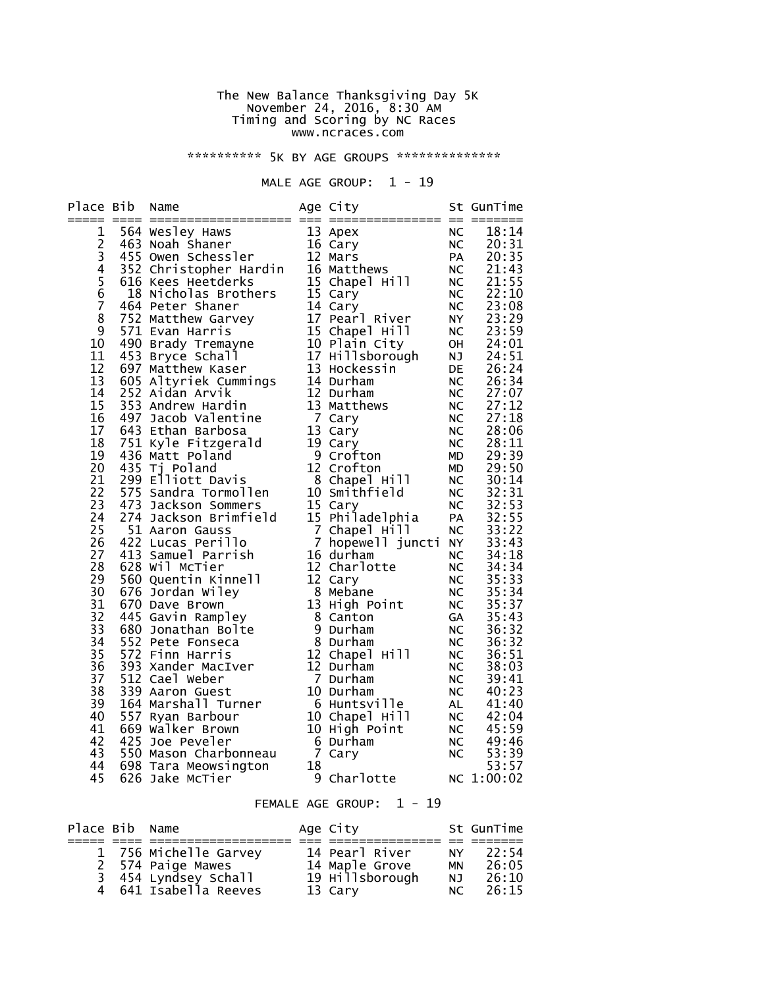#### The New Balance Thanksgiving Day 5K November 24, 2016, 8:30 AM Timing and Scoring by NC Races www.ncraces.com

\*\*\*\*\*\*\*\*\*\*\* 5K BY AGE GROUPS \*\*\*\*\*\*\*\*\*\*\*\*\*\*\*

#### MALE AGE GROUP:  $1 - 19$

| Place Bib                                                                                                                                                                 | Name                                                                                                                                                                                                                                                                                                                                                                                                                                                                                                                                                                                                                                                                                                                           |    | Age City                                                                                                                                                                                 |                                                                                                                                                                                                                             | St GunTime                                                                                                                                                                                                                                      |
|---------------------------------------------------------------------------------------------------------------------------------------------------------------------------|--------------------------------------------------------------------------------------------------------------------------------------------------------------------------------------------------------------------------------------------------------------------------------------------------------------------------------------------------------------------------------------------------------------------------------------------------------------------------------------------------------------------------------------------------------------------------------------------------------------------------------------------------------------------------------------------------------------------------------|----|------------------------------------------------------------------------------------------------------------------------------------------------------------------------------------------|-----------------------------------------------------------------------------------------------------------------------------------------------------------------------------------------------------------------------------|-------------------------------------------------------------------------------------------------------------------------------------------------------------------------------------------------------------------------------------------------|
| 1<br>2<br>3<br>4<br>$\frac{5}{6}$<br>$\overline{7}$<br>8<br>9<br>10<br>11<br>12<br>13<br>14<br>15<br>16<br>17<br>18<br>19<br>20<br>21<br>22<br>23<br>24<br>25<br>26<br>27 | 564 wesley Haws<br>463 Noah Shaner<br>455 Owen Schessler<br>352 Christopher Hardin<br>564 Noah Shaner<br>352 Christopher Hardin<br>5616 Kees Heetderks<br>516 Natthews<br>464 Peter Shaner<br>464 Peter Shaner<br>464 Peter Shaner<br>14 Cary<br>32<br>18 Nicholas Brothers<br>464 Peter Shaner<br>752 Matthew Garvey<br>752 Nathew Garvey<br>771 Evan Harris<br>571 Evan Harris<br>571 Evan Harris<br>571 Evan Harris<br>571 Evan Harris<br>571 Evan Harris<br>571 Evan Harris<br>571 Evan Harris<br>571<br>751 Kyle Fitzgerald<br>436 Matt Poland<br>435 Tj Poland<br>299 Elliott Davis<br>575 Sandra Tormollen<br>473 Jackson Sommers<br>274 Jackson Brimfield<br>51 Aaron Gauss<br>422 Lucas Perillo<br>413 Samuel Parrish |    | 15 Chapel Hill<br>19 Cary<br>9 Crofton<br>12 Crofton<br>12 Crofton<br>8 Chapel Hill<br>10 Smithfield<br>15 Cary<br>15 Philadelphia<br>7 Chapel Hill<br>7 hopewell juncti NY<br>16 durham | <b>NC</b><br>NC<br>PA<br>NC<br>NC<br>NC<br>NC<br>NC<br>NY<br>NC<br>OH<br>NJ<br>DE<br>DE<br><b>NC</b><br>NC<br>NC<br><b>NC</b><br><b>NC</b><br>NC<br>MD<br>MD<br><b>NC</b><br><b>NC</b><br><b>NC</b><br>PA<br>PA<br>NC<br>NC | 18:14<br>20:31<br>20:35<br>21:43<br>21:55<br>22:10<br>23:08<br>23:29<br>23:59<br>24:01<br>24:51<br>26:24<br>26:34<br>27:07<br>27:12<br>27:18<br>28:06<br>28:11<br>29:39<br>29:50<br>30:14<br>32:31<br>32:53<br>32:55<br>33:22<br>33:43<br>34:18 |
| 28<br>29<br>30<br>31<br>32<br>33<br>34<br>35<br>36<br>37<br>38<br>39<br>40<br>41<br>42<br>43<br>44<br>45                                                                  | 628 Wil McTier<br>560 Quentin Kinnell<br>676 Jordan Wiley<br>670 Dave Brown<br>445 Gavin Rampley<br>680 Jonathan Bolte<br>552 Pete Fonseca<br>572 Finn Harris<br>393 Xander Macive.<br>512 Cael Weber<br>339 Aaron Guest<br>164 Marshall Turner<br>557 Ryan Barbour<br>69 Walker Brown<br>10 Chapel Hill<br>669 Walker Brown<br>2014 10 High Point<br>50 Malker Brown<br>2014 10 High Point<br>2014 7 Cary<br>698 Tara Meowsington<br>626 Jake McTier                                                                                                                                                                                                                                                                          | 18 | 12 Charlotte<br>-- cary<br>8 Mebane<br>13 Hir<br>13 High Point<br>8 nigh Po<br>8 Canton<br>9 nuri<br>p Durham<br>8 Durham<br>12 Ch<br>12 Chapel Hill<br>9 Charlotte                      | NC<br><b>NC</b><br><b>NC</b><br><b>NC</b><br>GA<br>NC<br><b>NC</b><br><b>NC</b><br><b>NC</b><br>NC<br>NC<br>AL<br><b>NC</b><br>NC<br><b>NC</b><br><b>NC</b>                                                                 | 34:34<br>35:33<br>35:34<br>35:37<br>35:43<br>36:32<br>36:32<br>36:51<br>38:03<br>39:41<br>40:23<br>41:40<br>42:04<br>45:59<br>49:46<br>53:39<br>53:57<br>NC 1:00:02                                                                             |
|                                                                                                                                                                           |                                                                                                                                                                                                                                                                                                                                                                                                                                                                                                                                                                                                                                                                                                                                |    | $1 - 19$<br>FEMALE AGE GROUP:                                                                                                                                                            |                                                                                                                                                                                                                             |                                                                                                                                                                                                                                                 |

| Place Bib Name |                       | Age City                          |           | St GunTime |
|----------------|-----------------------|-----------------------------------|-----------|------------|
|                |                       |                                   |           |            |
|                | 1 756 Michelle Garvey | 14 Pearl River                    | NY .      | 22:54      |
|                | 2 574 Paige Mawes     | 14 Maple Grove<br>19 Hillsborough | <b>MN</b> | 26:05      |
|                | 3 454 Lyndsey Schall  |                                   | NJ.       | 26:10      |
|                | 4 641 Isabella Reeves | 13 Cary                           | NC.       | 26:15      |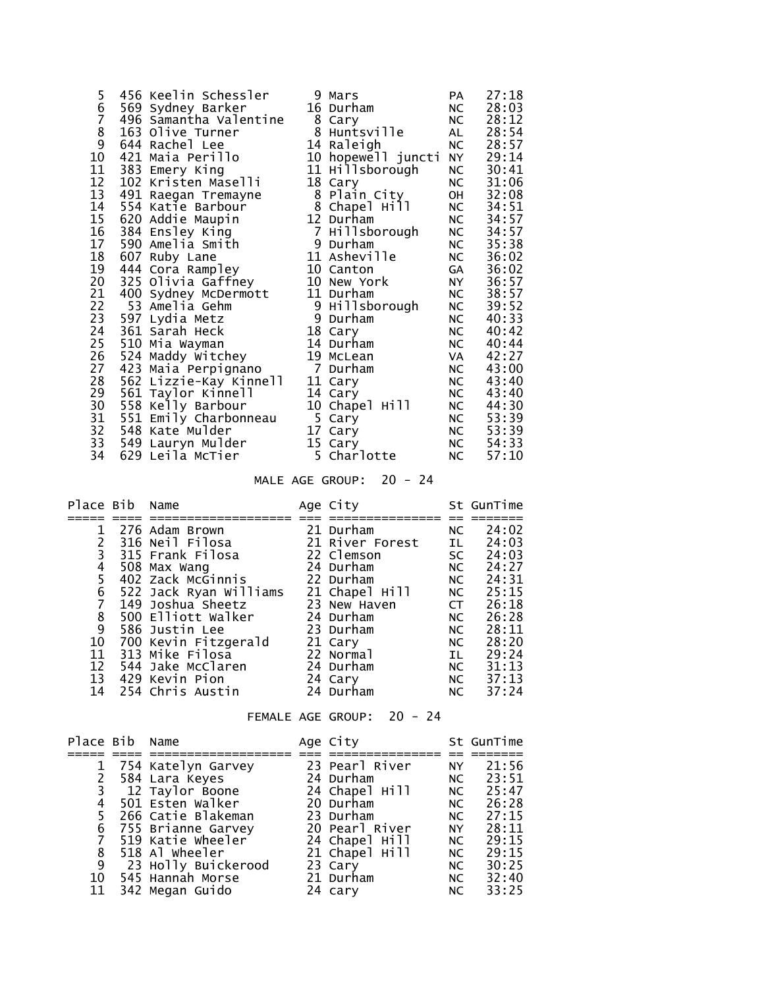| 5             | 456 Keelin Schessler   | 9 Mars             | PA        | 27:18 |
|---------------|------------------------|--------------------|-----------|-------|
| 6             | 569 Sydney Barker      | 16 Durham          | NC        | 28:03 |
| 7             | 496 Samantha Valentine | 8 Cary             | NC        | 28:12 |
|               | 163 Olive Turner       | 8 Huntsville       | AL        | 28:54 |
| $\frac{8}{9}$ | 644 Rachel Lee         | 14 Raleigh         | NC        | 28:57 |
| 10            | 421 Maia Perillo       | 10 hopewell juncti | <b>NY</b> | 29:14 |
| 11            | 383 Emery King         | 11 Hillsborough    | NC        | 30:41 |
| 12            | 102 Kristen Maselli    | 18 Cary            | <b>NC</b> | 31:06 |
| 13            | 491 Raegan Tremayne    | 8 Plain City       | OH        | 32:08 |
| 14            | 554 Katie Barbour      | 8 Chapel Hill      | NC        | 34:51 |
| 15            | 620 Addie Maupin       | 12 Durham          | NC        | 34:57 |
| 16            | 384 Ensley King        | 7 Hillsborough     | NC        | 34:57 |
| 17            | 590 Amelia Smith       | 9 Durham           | NC        | 35:38 |
| 18            | 607 Ruby Lane          | 11 Asheville       | NC        | 36:02 |
| 19            | 444 Cora Rampley       | 10 Canton          | GA        | 36:02 |
| 20            | 325 Olivia Gaffney     | 10 New York        | NY 1      | 36:57 |
| 21            | 400 Sydney McDermott   | 11 Durham          | NC        | 38:57 |
| 22            | 53 Amelia Gehm         | 9 нillsborough     | NC        | 39:52 |
| 23            | 597 Lydia Metz         | 9 Durham           | NC        | 40:33 |
| 24            | 361 Sarah Heck         | 18 Cary            | NC        | 40:42 |
| 25            | 510 Mia Wayman         | 14 Durham          | NC        | 40:44 |
| 26            | 524 Maddy Witchey      | 19 McLean          | VA        | 42:27 |
| 27            | 423 Maia Perpignano    | 7 Durham           | NC        | 43:00 |
| 28            | 562 Lizzie-Kay Kinnell | 11 Cary            | NC        | 43:40 |
| 29            | 561 Taylor Kinnell     | 14 Cary            | NC        | 43:40 |
| 30            | 558 Kelly Barbour      | 10 Chapel Hill     | NC        | 44:30 |
| 31            | 551 Emily Charbonneau  | 5 Cary             | NC        | 53:39 |
| 32            | 548 Kate Mulder        | 17 Cary            | NC        | 53:39 |
| 33            | 549 Lauryn Mulder      | 15 Cary            | NC        | 54:33 |
| 34            | 629 Leila McTier       | 5 Charlotte        | NC        | 57:10 |

MALE AGE GROUP: 20 - 24

| Place Bib      | Name                   | Age City        |                                                                                                                                                                                                                                | St GunTime |
|----------------|------------------------|-----------------|--------------------------------------------------------------------------------------------------------------------------------------------------------------------------------------------------------------------------------|------------|
|                |                        |                 |                                                                                                                                                                                                                                |            |
|                | 276 Adam Brown         | 21 Durham       | NC                                                                                                                                                                                                                             | 24:02      |
|                | 316 Neil Filosa        | 21 River Forest | IL D                                                                                                                                                                                                                           | 24:03      |
| 3              | 315 Frank Filosa       | 22 Clemson      | SC and the set of the set of the set of the set of the set of the set of the set of the set of the set of the set of the set of the set of the set of the set of the set of the set of the set of the set of the set of the se | 24:03      |
| 4              | 508 Max Wang           | 24 Durham       | NC                                                                                                                                                                                                                             | 24:27      |
| 5              | 402 Zack McGinnis      | 22 Durham       | NC                                                                                                                                                                                                                             | 24:31      |
| 6              | 522 Jack Ryan Williams | 21 Chapel Hill  | NC                                                                                                                                                                                                                             | 25:15      |
| 7              | 149 Joshua Sheetz      | 23 New Haven    | <b>CT</b>                                                                                                                                                                                                                      | 26:18      |
| 8              | 500 Elliott Walker     | 24 Durham       | NC                                                                                                                                                                                                                             | 26:28      |
| $\overline{9}$ | 586 Justin Lee         | 23 Durham       | NC                                                                                                                                                                                                                             | 28:11      |
| 10             | 700 Kevin Fitzgerald   | 21 Cary         | NC                                                                                                                                                                                                                             | 28:20      |
| 11             | 313 Mike Filosa        | 22 Normal       | IL.                                                                                                                                                                                                                            | 29:24      |
| 12             | 544 Jake McClaren      | 24 Durham       | NC                                                                                                                                                                                                                             | 31:13      |
| 13             | 429 Kevin Pion         | 24 Cary         | NC                                                                                                                                                                                                                             | 37:13      |
| 14             | 254 Chris Austin       | 24 Durham       | NC                                                                                                                                                                                                                             | 37:24      |

FEMALE AGE GROUP: 20 - 24

| Place Bib Name |                     | Age City       |           | St GunTime |
|----------------|---------------------|----------------|-----------|------------|
|                |                     |                |           |            |
|                | 754 Katelyn Garvey  | 23 Pearl River | <b>NY</b> | 21:56      |
|                | 584 Lara Keyes      | 24 Durham      | NC        | 23:51      |
|                | 3 12 Taylor Boone   | 24 Chapel Hill | NC        | 25:47      |
| 4              | 501 Esten Walker    | 20 Durham      | NC        | 26:28      |
| 5.             | 266 Catie Blakeman  | 23 Durham      | NC        | 27:15      |
| 6              | 755 Brianne Garvey  | 20 Pearl River | NY 1      | 28:11      |
|                | 7 519 Katie Wheeler | 24 Chapel Hill | NC .      | 29:15      |
| 8              | 518 Al wheeler      | 21 Chapel Hill | NC .      | 29:15      |
| 9              | 23 Holly Buickerood | 23 Cary        | NC .      | 30:25      |
| 10             | 545 Hannah Morse    | 21 Durham      | NC        | 32:40      |
| 11             | 342 Megan Guido     | 24 cary        | NC.       | 33:25      |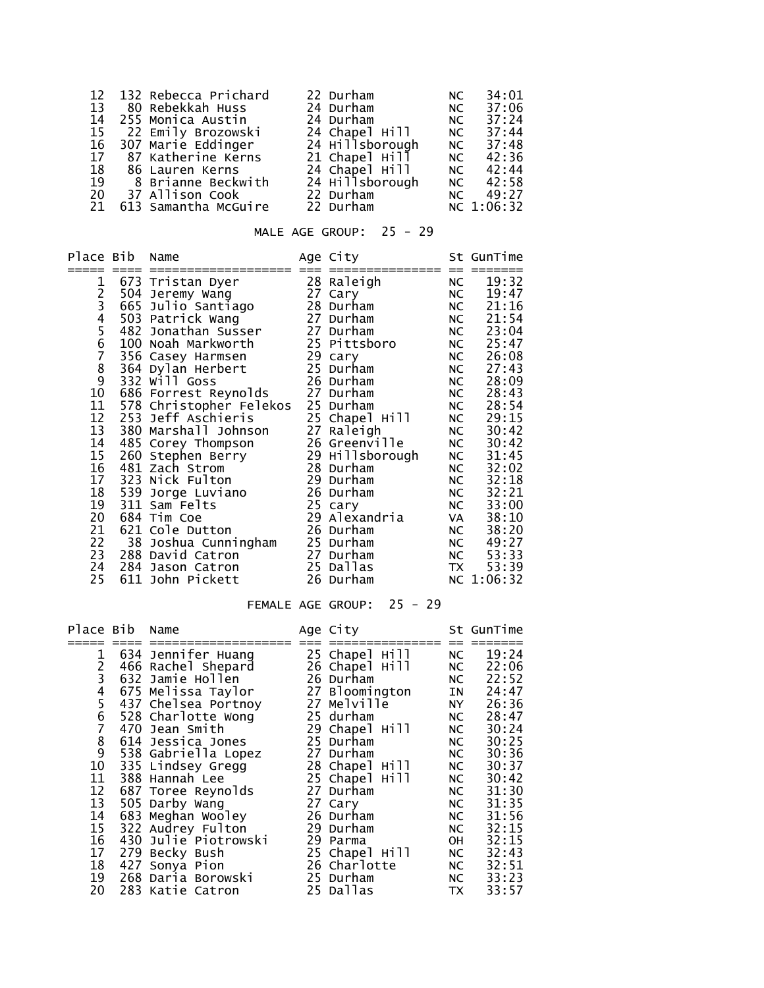|    | 12 132 Rebecca Prichard   | 22 Durham       | NC . | 34:01      |
|----|---------------------------|-----------------|------|------------|
|    | 13     80  Rebekkah  Huss | 24 Durham       | NC 1 | 37:06      |
| 14 | 255 Monica Austin         | 24 Durham       | NC.  | 37:24      |
|    | 15 22 Emily Brozowski     | 24 Chapel Hill  | NC   | 37:44      |
| 16 | 307 Marie Eddinger        | 24 Hillsborough | NC   | 37:48      |
|    | 17 87 Katherine Kerns     | 21 Chapel Hill  | NC . | 42:36      |
|    | 18 86 Lauren Kerns        | 24 Chapel Hill  |      | NC 42:44   |
| 19 | 8 Brianne Beckwith        | 24 Hillsborough |      | NC 42:58   |
| 20 | 37 Allison Cook           | 22 Durham       |      | NC 49:27   |
| 21 | 613 Samantha McGuire      | 22 Durham       |      | NC 1:06:32 |

# MALE AGE GROUP: 25 - 29

| Place Bib   |     | Name                    | Age City        |           | St GunTime |
|-------------|-----|-------------------------|-----------------|-----------|------------|
| 1           |     | 673 Tristan Dyer        | 28 Raleigh      | <b>NC</b> | 19:32      |
|             |     | 504 Jeremy Wang         | 27 Cary         | NC        | 19:47      |
|             |     | 665 Julio Santiago      | 28 Durham       | NC        | 21:16      |
|             |     | 503 Patrick Wang        | 27 Durham       | NC        | 21:54      |
|             |     | 482 Jonathan Susser     | 27 Durham       | NC        | 23:04      |
| 23456       |     | 100 Noah Markworth      | 25 Pittsboro    | NC        | 25:47      |
|             |     | 356 Casey Harmsen       | 29 cary         | NC        | 26:08      |
| 7<br>8<br>9 |     | 364 Dylan Herbert       | 25 Durham       | NC        | 27:43      |
|             |     | 332 Will Goss           | 26 Durham       | NC        | 28:09      |
| 10          |     | 686 Forrest Reynolds    | 27 Durham       | NC        | 28:43      |
| 11          |     | 578 Christopher Felekos | 25 Durham       | NC        | 28:54      |
| 12          | 253 | Jeff Aschieris          | 25 Chapel Hill  | NC        | 29:15      |
| 13          |     | 380 Marshall Johnson    | 27 Raleigh      | NC        | 30:42      |
| 14          |     | 485 Corey Thompson      | 26 Greenville   | NC        | 30:42      |
| 15          |     | 260 Stephen Berry       | 29 Hillsborough | NC        | 31:45      |
| 16          |     | 481 Zach Strom          | 28 Durham       | NC        | 32:02      |
| 17          |     | 323 Nick Fulton         | 29 Durham       | NC        | 32:18      |
| 18          |     | 539 Jorge Luviano       | 26 Durham       | NC        | 32:21      |
| 19          |     | 311 Sam Felts           | 25 cary         | NC        | 33:00      |
| 20          |     | 684 Tim Coe             | 29 Alexandria   | VA        | 38:10      |
| 21          |     | 621 Cole Dutton         | 26 Durham       | NC        | 38:20      |
| 22          |     | 38 Joshua Cunningham    | 25 Durham       | NC        | 49:27      |
| 23          |     | 288 David Catron        | 27 Durham       | NC        | 53:33      |
| 24          |     | 284 Jason Catron        | 25 Dallas       | <b>TX</b> | 53:39      |
| 25          |     | 611 John Pickett        | 26 Durham       |           | NC 1:06:32 |

# FEMALE AGE GROUP: 25 - 29

| Place Bib     | Name                 | Age City       |           | St GunTime |
|---------------|----------------------|----------------|-----------|------------|
|               |                      |                |           |            |
| 1             | 634 Jennifer Huang   | 25 Chapel Hill | NC        | 19:24      |
| $\frac{2}{3}$ | 466 Rachel Shepard   | 26 Chapel Hill | NC        | 22:06      |
|               | 632 Jamie Hollen     | 26 Durham      | NC        | 22:52      |
| $\frac{4}{5}$ | 675 Melissa Taylor   | 27 Bloomington | IN        | 24:47      |
|               | 437 Chelsea Portnoy  | 27 Melville    | NY N      | 26:36      |
| $\frac{6}{7}$ | 528 Charlotte Wong   | 25 durham      | NC        | 28:47      |
|               | 470 Jean Smith       | 29 Chapel Hill | NC        | 30:24      |
| $\frac{8}{9}$ | 614 Jessica Jones    | 25 Durham      | NC        | 30:25      |
|               | 538 Gabriella Lopez  | 27 Durham      | NC        | 30:36      |
| 10            | 335 Lindsey Gregg    | 28 Chapel Hill | NC        | 30:37      |
| 11            | 388 Hannah Lee       | 25 Chapel Hill | NC        | 30:42      |
| 12            | 687 Toree Reynolds   | 27 Durham      | NC        | 31:30      |
| 13            | 505 Darby Wang       | 27 Cary        | NC        | 31:35      |
| 14            | 683 Meghan Wooley    | 26 Durham      | NC        | 31:56      |
| 15            | 322 Audrey Fulton    | 29 Durham      | NC        | 32:15      |
| 16            | 430 Julie Piotrowski | 29 Parma       | OH        | 32:15      |
| 17            | 279 Becky Bush       | 25 Chapel Hill | NC        | 32:43      |
| 18            | 427 Sonya Pion       | 26 Charlotte   | NC        | 32:51      |
| 19            | 268 Daria Borowski   | 25 Durham      | NC        | 33:23      |
| 20            | 283 Katie Catron     | 25 Dallas      | <b>TX</b> | 33:57      |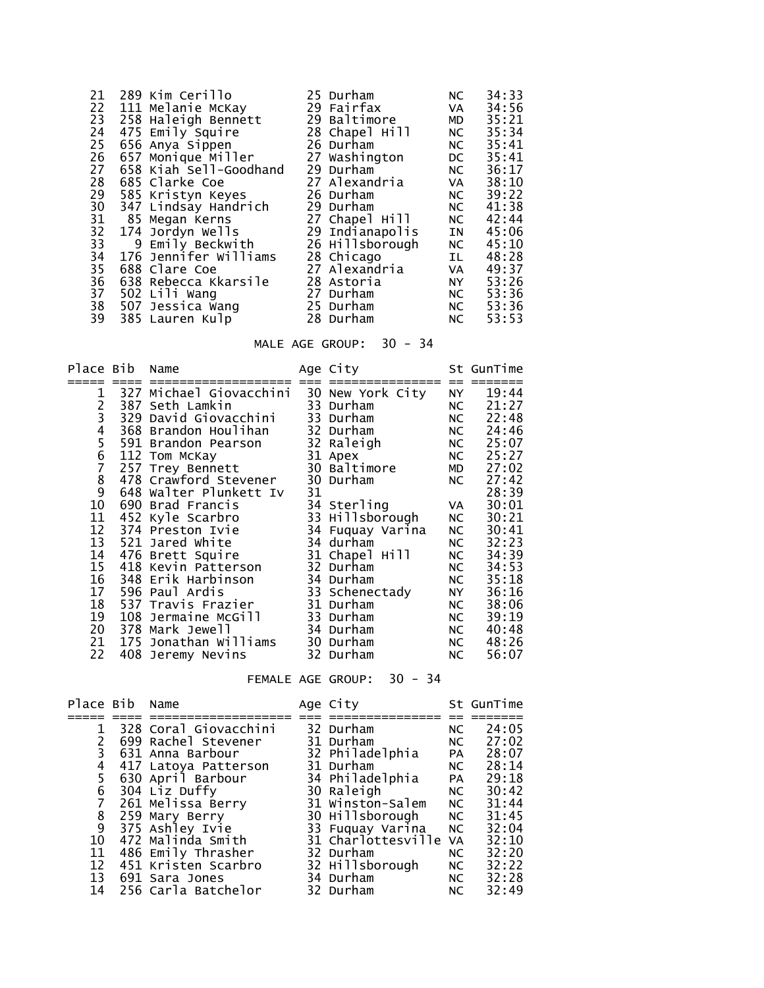| 21 | 289 Kim Cerillo        | 25 Durham       | NC                                                                                                                                                                                                                             | 34:33 |
|----|------------------------|-----------------|--------------------------------------------------------------------------------------------------------------------------------------------------------------------------------------------------------------------------------|-------|
| 22 | 111 Melanie McKay      | 29 Fairfax      | VA                                                                                                                                                                                                                             | 34:56 |
| 23 | 258 Haleigh Bennett    | 29 Baltimore    | MD                                                                                                                                                                                                                             | 35:21 |
| 24 | 475 Emily Squire       | 28 Chapel Hill  | NC                                                                                                                                                                                                                             | 35:34 |
| 25 | 656 Anya Sippen        | 26 Durham       | NC                                                                                                                                                                                                                             | 35:41 |
| 26 | 657 Monique Miller     | 27 Washington   | DC and the set of the set of the set of the set of the set of the set of the set of the set of the set of the set of the set of the set of the set of the set of the set of the set of the set of the set of the set of the se | 35:41 |
| 27 | 658 Kiah Sell-Goodhand | 29 Durham       | NC                                                                                                                                                                                                                             | 36:17 |
| 28 | 685 Clarke Coe         | 27 Alexandria   | VA                                                                                                                                                                                                                             | 38:10 |
| 29 | 585 Kristyn Keyes      | 26 Durham       | NC                                                                                                                                                                                                                             | 39:22 |
| 30 | 347 Lindsay Handrich   | 29 Durham       | NC                                                                                                                                                                                                                             | 41:38 |
| 31 | 85 Megan Kerns         | 27 Chapel Hill  | NC                                                                                                                                                                                                                             | 42:44 |
| 32 | 174 Jordyn Wells       | 29 Indianapolis | <b>IN</b>                                                                                                                                                                                                                      | 45:06 |
| 33 | 9 Emily Beckwith       | 26 Hillsborough | NC                                                                                                                                                                                                                             | 45:10 |
| 34 | 176 Jennifer Williams  | 28 Chicago      | IL.                                                                                                                                                                                                                            | 48:28 |
| 35 | 688 Clare Coe          | 27 Alexandria   | <b>VA</b>                                                                                                                                                                                                                      | 49:37 |
| 36 | 638 Rebecca Kkarsile   | 28 Astoria      | NY 1                                                                                                                                                                                                                           | 53:26 |
| 37 | 502 Lili Wang          | 27 Durham       | NC                                                                                                                                                                                                                             | 53:36 |
| 38 | 507 Jessica Wang       | 25 Durham       | NC                                                                                                                                                                                                                             | 53:36 |
| 39 | 385 Lauren Kulp        | 28 Durham       | NC                                                                                                                                                                                                                             | 53:53 |

#### MALE AGE GROUP:  $30 - 34$

| Place Bib                             | Name                                               |    | Age City               |             | St GunTime        |
|---------------------------------------|----------------------------------------------------|----|------------------------|-------------|-------------------|
|                                       |                                                    |    |                        |             |                   |
| 1                                     | 327 Michael Giovacchini                            |    | 30 New York City       | NY L        | 19:44             |
| 2<br>3<br>4<br>5                      | 387 Seth Lamkin 33 Durham<br>329 David Giovacchini |    |                        | NC          | 21:27<br>22:48    |
|                                       |                                                    |    | 33 Durham<br>32 Durham | NC          |                   |
|                                       | 368 Brandon Houlihan                               |    | 32 Raleigh             | NC          | 24:46<br>NC 25:07 |
|                                       | 591 Brandon Pearson                                |    |                        |             |                   |
| $\begin{array}{c} 6 \\ 7 \end{array}$ | 112 Tom McKay                                      |    | 31 Apex                | NC          | 25:27             |
|                                       | 257 Trey Bennett                                   |    | 30 Baltimore           | <b>MD</b>   | 27:02             |
| 8                                     | 478 Crawford Stevener                              |    | 30 Durham              | NC          | 27:42             |
| 9                                     | 648 Walter Plunkett Iv                             | 31 |                        |             | 28:39             |
| 10                                    | 690 Brad Francis                                   |    | 34 Sterling            | VA          | 30:01             |
| 11                                    | 452 Kyle Scarbro                                   |    | 33 Hillsborough        | NC          | 30:21             |
| 12                                    | 374 Preston Ivie                                   |    | 34 Fuquay Varina       | NC          | 30:41             |
| 13                                    | 521 Jared White                                    |    | 34 durham              | NC          | 32:23             |
| 14                                    | 476 Brett Squire                                   |    | 31 Chapel Hill         | NC          | 34:39             |
| 15                                    | 418 Kevin Patterson                                |    | 32 Durham              | NC <b>N</b> | 34:53             |
| 16                                    | 348 Erik Harbinson                                 |    | 34 Durham              | NC          | 35:18             |
| 17                                    | 596 Paul Ardis                                     |    | 33 Schenectady         | NY N        | 36:16             |
| 18                                    | 537 Travis Frazier                                 |    | 31 Durham              | NC          | 38:06             |
| 19                                    | 108 Jermaine McGill                                |    | 33 Durham              | NC          | 39:19             |
| 20                                    | 378 Mark Jewell                                    |    | 34 Durham              | NC          | 40:48             |
| 21                                    | 175 Jonathan Williams                              |    | 30 Durham              | NC          | 48:26             |
| 22                                    | 408 Jeremy Nevins                                  |    | 32 Durham              | NC          | 56:07             |

FEMALE AGE GROUP: 30 - 34

| Place Bib Name |                       | Age City              |           | St GunTime |
|----------------|-----------------------|-----------------------|-----------|------------|
|                |                       |                       |           |            |
| $\mathbf{1}$   | 328 Coral Giovacchini | 32 Durham             | NC .      | 24:05      |
|                | 699 Rachel Stevener   | 31 Durham             | NC        | 27:02      |
| 3              | 631 Anna Barbour      | 32 Philadelphia       | <b>PA</b> | 28:07      |
| 4              | 417 Latoya Patterson  | 31 Durham             | NC        | 28:14      |
| 5              | 630 April Barbour     | 34 Philadelphia       | <b>PA</b> | 29:18      |
| 6              | 304 Liz Duffy         | 30 Raleigh            | NC        | 30:42      |
|                | 261 Melissa Berry     | 31 Winston-Salem      | NC        | 31:44      |
| 8              | 259 Mary Berry        | 30 Hillsborough       | NC NO.    | 31:45      |
| 9              | 375 Ashley Ivie       | 33 Fuquay Varina      | NC        | 32:04      |
| 10             | 472 Malinda Smith     | 31 Charlottesville VA |           | 32:10      |
| 11             | 486 Emily Thrasher    | 32 Durham             | NC        | 32:20      |
| 12             | 451 Kristen Scarbro   | 32 Hillsborough       | NC        | 32:22      |
| 13             | 691 Sara Jones        | 34 Durham             | NC        | 32:28      |
| 14             | 256 Carla Batchelor   | 32 Durham             | <b>NC</b> | 32:49      |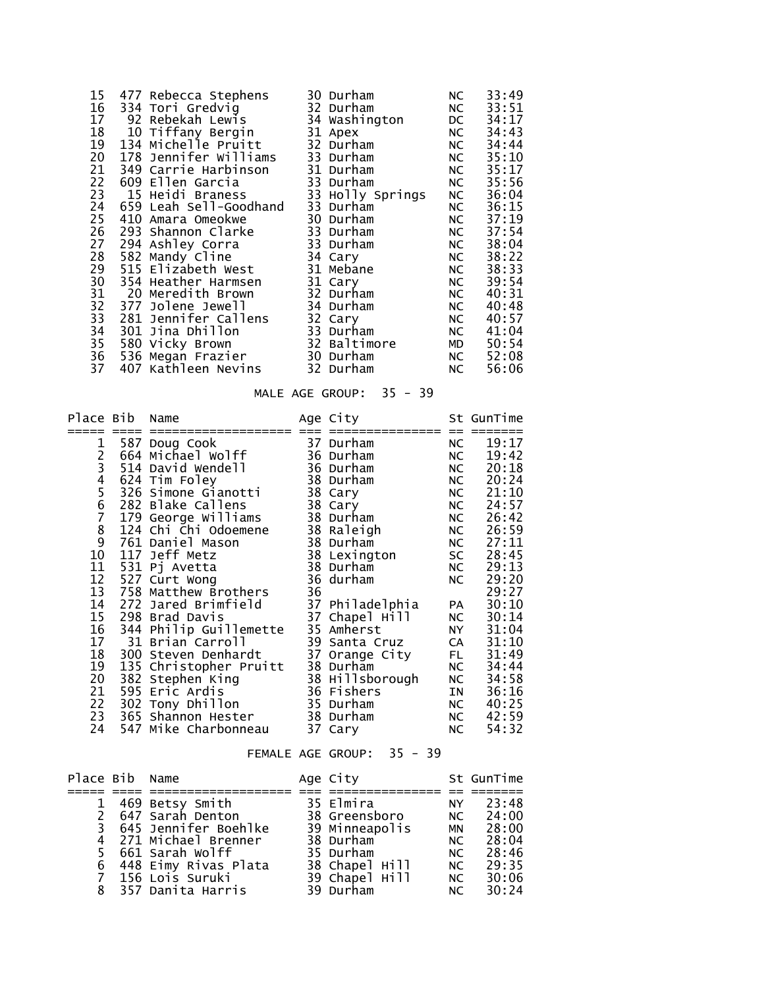|     |    |                                                                                                                                                                                                                                                                                                                                                                                                                                                                                                             |                                                                                                                                                                                                                                                                                           | 33:49                                                                                                                                                      |
|-----|----|-------------------------------------------------------------------------------------------------------------------------------------------------------------------------------------------------------------------------------------------------------------------------------------------------------------------------------------------------------------------------------------------------------------------------------------------------------------------------------------------------------------|-------------------------------------------------------------------------------------------------------------------------------------------------------------------------------------------------------------------------------------------------------------------------------------------|------------------------------------------------------------------------------------------------------------------------------------------------------------|
|     |    |                                                                                                                                                                                                                                                                                                                                                                                                                                                                                                             |                                                                                                                                                                                                                                                                                           | 33:51                                                                                                                                                      |
|     |    |                                                                                                                                                                                                                                                                                                                                                                                                                                                                                                             |                                                                                                                                                                                                                                                                                           | 34:17                                                                                                                                                      |
|     |    |                                                                                                                                                                                                                                                                                                                                                                                                                                                                                                             |                                                                                                                                                                                                                                                                                           | 34:43                                                                                                                                                      |
|     |    |                                                                                                                                                                                                                                                                                                                                                                                                                                                                                                             |                                                                                                                                                                                                                                                                                           | 34:44                                                                                                                                                      |
|     |    |                                                                                                                                                                                                                                                                                                                                                                                                                                                                                                             |                                                                                                                                                                                                                                                                                           | 35:10                                                                                                                                                      |
|     |    |                                                                                                                                                                                                                                                                                                                                                                                                                                                                                                             |                                                                                                                                                                                                                                                                                           | 35:17                                                                                                                                                      |
|     |    |                                                                                                                                                                                                                                                                                                                                                                                                                                                                                                             |                                                                                                                                                                                                                                                                                           | 35:56                                                                                                                                                      |
|     |    |                                                                                                                                                                                                                                                                                                                                                                                                                                                                                                             |                                                                                                                                                                                                                                                                                           | 36:04                                                                                                                                                      |
|     |    |                                                                                                                                                                                                                                                                                                                                                                                                                                                                                                             |                                                                                                                                                                                                                                                                                           | 36:15                                                                                                                                                      |
| 410 |    |                                                                                                                                                                                                                                                                                                                                                                                                                                                                                                             |                                                                                                                                                                                                                                                                                           | 37:19                                                                                                                                                      |
|     |    |                                                                                                                                                                                                                                                                                                                                                                                                                                                                                                             |                                                                                                                                                                                                                                                                                           | 37:54                                                                                                                                                      |
|     |    |                                                                                                                                                                                                                                                                                                                                                                                                                                                                                                             |                                                                                                                                                                                                                                                                                           | 38:04                                                                                                                                                      |
|     |    |                                                                                                                                                                                                                                                                                                                                                                                                                                                                                                             |                                                                                                                                                                                                                                                                                           | 38:22                                                                                                                                                      |
|     |    |                                                                                                                                                                                                                                                                                                                                                                                                                                                                                                             |                                                                                                                                                                                                                                                                                           | 38:33                                                                                                                                                      |
|     |    |                                                                                                                                                                                                                                                                                                                                                                                                                                                                                                             |                                                                                                                                                                                                                                                                                           | 39:54                                                                                                                                                      |
|     |    |                                                                                                                                                                                                                                                                                                                                                                                                                                                                                                             |                                                                                                                                                                                                                                                                                           | 40:31                                                                                                                                                      |
|     |    |                                                                                                                                                                                                                                                                                                                                                                                                                                                                                                             |                                                                                                                                                                                                                                                                                           | 40:48                                                                                                                                                      |
|     |    |                                                                                                                                                                                                                                                                                                                                                                                                                                                                                                             |                                                                                                                                                                                                                                                                                           | 40:57                                                                                                                                                      |
|     |    |                                                                                                                                                                                                                                                                                                                                                                                                                                                                                                             |                                                                                                                                                                                                                                                                                           | 41:04                                                                                                                                                      |
|     |    |                                                                                                                                                                                                                                                                                                                                                                                                                                                                                                             |                                                                                                                                                                                                                                                                                           | 50:54                                                                                                                                                      |
|     |    |                                                                                                                                                                                                                                                                                                                                                                                                                                                                                                             |                                                                                                                                                                                                                                                                                           | 52:08                                                                                                                                                      |
|     |    |                                                                                                                                                                                                                                                                                                                                                                                                                                                                                                             |                                                                                                                                                                                                                                                                                           | 56:06                                                                                                                                                      |
|     | 28 | 477 Rebecca Stephens<br>334 Tori Gredvig<br>92 Rebekah Lewis<br>10 Tiffany Bergin<br>134 Michelle Pruitt<br>178 Jennifer Williams<br>349 Carrie Harbinson<br>609 Ellen Garcia<br>15 Heidi Braness<br>659 Leah Sell-Goodhand<br>Amara Omeokwe<br>293 Shannon Clarke<br>294 Ashley Corra<br>582 Mandy Cline<br>515 Elizabeth West<br>354 Heather Harmsen<br>20 Meredith Brown<br>377 Jolene Jewell<br>281 Jennifer Callens<br>301 Jina Dhillon<br>580 Vicky Brown<br>536 Megan Frazier<br>407 Kathleen Nevins | 30 Durham<br>32 Durham<br>34 Washington<br>31 Apex<br>32 Durham<br>33 Durham<br>31 Durham<br>33 Durham<br>33 Durham<br>30 Durham<br>33 Durham<br>33 Durham<br>34 Cary<br>31 Mebane<br>31 Cary<br>32 Durham<br>34 Durham<br>32 Cary<br>33 Durham<br>32 Baltimore<br>30 Durham<br>32 Durham | NC<br>NC<br>DC<br>NC<br>NC<br>NC<br>NC<br>NC<br>33 Holly Springs<br>NC<br>NC<br>NC<br>NC<br>NC<br>NC<br>NC<br>NC<br>NC<br>NC<br>NC<br>NC<br>MD<br>NC<br>NC |

# MALE AGE GROUP: 35 - 39

| Place Bib       |     | Name                                        |    | Age City        |           | St GunTime |
|-----------------|-----|---------------------------------------------|----|-----------------|-----------|------------|
|                 |     |                                             |    |                 |           |            |
| 1               |     | 587 Doug Cook                               |    | 37 Durham       | NC        | 19:17      |
|                 |     | 664 Michael Wolff                           |    | 36 Durham       | NC        | 19:42      |
|                 |     | 514 David Wendell                           |    | 36 Durham       | NC        | 20:18      |
|                 |     | 624 Tim Foley                               |    | 38 Durham       | NC        | 20:24      |
| 23456789        |     | 326 Simone Gianotti                         |    | 38 Cary         | NC        | 21:10      |
|                 |     | 282 Blake Callens                           |    | 38 Cary         | NC        | 24:57      |
|                 |     | 179 George Williams<br>124 Chi Chi Odoemene |    | 38 Durham       | NC        | 26:42      |
|                 |     |                                             |    | 38 Raleigh      | NC        | 26:59      |
|                 |     | 761 Daniel Mason                            |    | 38 Durham       | NC        | 27:11      |
| $10\,$          |     | 117 Jeff Metz                               |    | 38 Lexington    | <b>SC</b> | 28:45      |
| 11              |     | 531 Pj Avetta                               |    | 38 Durham       | NC        | 29:13      |
| 12              |     | 527 Curt Wong                               |    | 36 durham       | NC        | 29:20      |
| 13              |     | 758 Matthew Brothers                        | 36 |                 |           | 29:27      |
| 14              | 272 | Jared Brimfield                             |    | 37 Philadelphia | <b>PA</b> | 30:10      |
| $\overline{15}$ |     | 298 Brad Davis                              |    | 37 Chapel Hill  | NC        | 30:14      |
| 16              |     | 344 Philip Guillemette                      |    | 35 Amherst      | NY NY     | 31:04      |
| 17              |     | 31 Brian Carroll                            |    | 39 Santa Cruz   | <b>CA</b> | 31:10      |
| 18              |     | 300 Steven Denhardt                         |    | 37 Orange City  | FL 1      | 31:49      |
| $\frac{19}{20}$ |     | 135 Christopher Pruitt                      |    | 38 Durham       | NC        | 34:44      |
|                 |     | 382 Stephen King                            |    | 38 Hillsborough | NC        | 34:58      |
| $\overline{21}$ |     | 595 Eric Ardis                              |    | 36 Fishers      | IN        | 36:16      |
| 22              |     | 302 Tony Dhillon                            |    | 35 Durham       | NC        | 40:25      |
| 23              |     | 365 Shannon Hester                          |    | 38 Durham       | NC        | 42:59      |
| 24              |     | 547 Mike Charbonneau                        |    | 37 Cary         | NC        | 54:32      |

#### FEMALE AGE GROUP: 35 - 39

| Place Bib Name |                        | Age City       |      | St GunTime |
|----------------|------------------------|----------------|------|------------|
|                |                        |                |      |            |
|                | 469 Betsy Smith        | 35 Elmira      | NY . | 23:48      |
|                | 2 647 Sarah Denton     | 38 Greensboro  |      | NC 24:00   |
|                | 3 645 Jennifer Boehlke | 39 Minneapolis | MN   | 28:00      |
|                | 4 271 Michael Brenner  | 38 Durham      | NC . | 28:04      |
|                | 5 661 Sarah Wolff      | 35 Durham      | NC.  | 28:46      |
|                | 6 448 Eimy Rivas Plata | 38 Chapel Hill | NC . | 29:35      |
|                | 7 156 Lois Suruki      | 39 Chapel Hill | NC   | 30:06      |
| 8              | 357 Danita Harris      | 39 Durham      | NC . | 30:24      |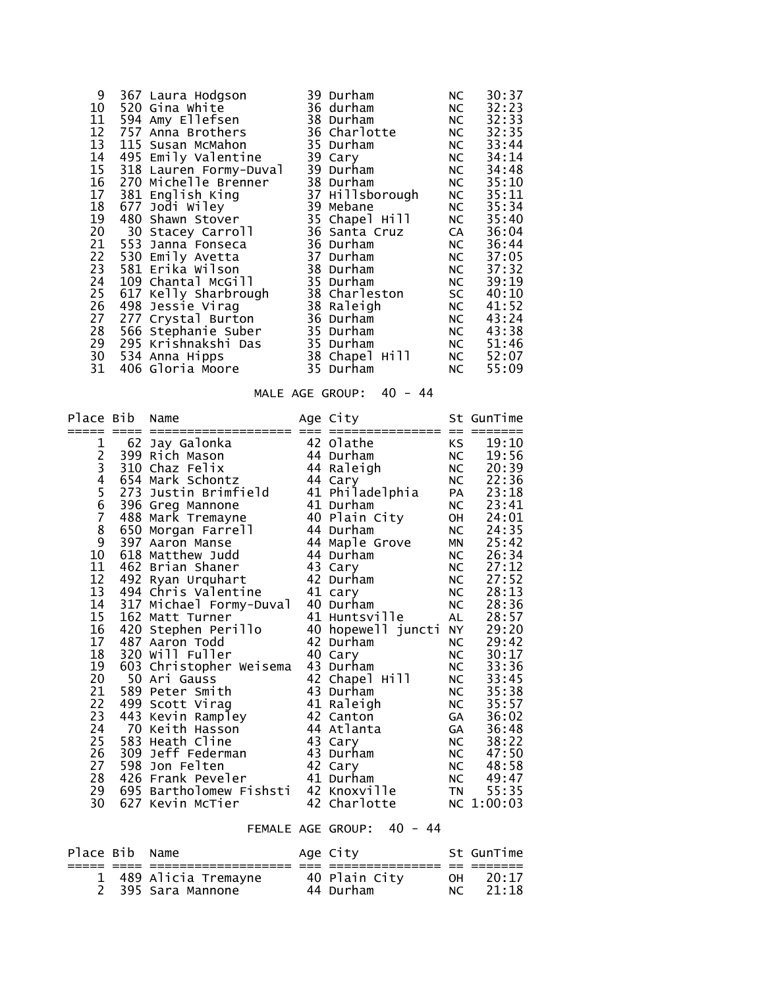| 9  | 367 Laura Hodgson                        | 39 Durham       | NC   | 30:37 |
|----|------------------------------------------|-----------------|------|-------|
| 10 | 520 Gina White                           | 36 durham       | NC   | 32:23 |
| 11 | 594 Amy Ellefsen                         | 38 Durham       | NC   | 32:33 |
| 12 | 757 Anna Brothers                        | 36 Charlotte    | NC   | 32:35 |
| 13 | 115 Susan McMahon                        | 35 Durham       | NC   | 33:44 |
| 14 | 495 Emily Valentine                      | 39 Cary         | NC   | 34:14 |
| 15 | 318 Lauren Formy-Duval                   | 39 Durham       | NC   | 34:48 |
| 16 | 270 Michelle Brenner                     | 38 Durham       | NC L | 35:10 |
| 17 | 381 English King                         | 37 Hillsborough | NC   | 35:11 |
| 18 | 677 Jodi Wiley                           | 39 Mebane       | NC   | 35:34 |
| 19 | 480 Shawn Stover                         | 35 Chapel Hill  | NC   | 35:40 |
| 20 | 30 Stacey Carroll                        | 36 Santa Cruz   | CA D | 36:04 |
| 21 | 553 Janna Fonseca                        | 36 Durham       | NC   | 36:44 |
| 22 | 530 Emily Avetta                         | 37 Durham       | NC   | 37:05 |
| 23 | 581 Erika Wilson                         | 38 Durham       | NC   | 37:32 |
| 24 | 109 Chantal McGill                       | 35 Durham       | NC   | 39:19 |
| 25 |                                          | 38 Charleston   | SC   | 40:10 |
| 26 | 617 Kelly Sharbrough<br>498 Jessie Virag | 38 Raleigh      | NC   | 41:52 |
| 27 | 277 Crystal Burton                       | 36 Durham       | NC   | 43:24 |
| 28 | 566 Stephanie Suber                      | 35 Durham       | NC   | 43:38 |
| 29 | 295 Krishnakshi Das                      | 35 Durham       | NC   | 51:46 |
| 30 | 534 Anna Hipps                           | 38 Chapel Hill  | NC   | 52:07 |
| 31 | 406 Gloria Moore                         | 35 Durham       | NC   | 55:09 |

# MALE AGE GROUP: 40 - 44

| Place Bib     |           | Name                             |    | Age City             |                   | St GunTime     |
|---------------|-----------|----------------------------------|----|----------------------|-------------------|----------------|
| 1             |           | 62 Jay Galonka                   |    | 42 Olathe            | $==$<br><b>KS</b> | 19:10          |
|               |           | 399 Rich Mason                   |    | 44 Durham            | <b>NC</b>         | 19:56          |
| 2<br>3<br>4   | 310       | Chaz Felix                       |    | 44 Raleigh           | <b>NC</b>         | 20:39          |
|               | 654       | Mark Schontz                     |    | 44 Cary              | <b>NC</b>         | 22:36          |
|               |           | 273 Justin Brimfield             |    | 41 Philadelphia      | PA                | 23:18          |
| 5<br>6<br>7   |           | 396 Greg Mannone                 |    | 41 Durham            | <b>NC</b>         | 23:41          |
|               | 488       | Mark Tremayne                    |    | 40 Plain City        | OH                | 24:01          |
| $\frac{8}{9}$ |           | 650 Morgan Farrell               |    | 44 Durham            | <b>NC</b>         | 24:35          |
|               |           | 397 Aaron Manse                  |    | 44 Maple Grove       | <b>MN</b>         | 25:42          |
| 10            |           | 618 Matthew Judd                 |    | 44 Durham            | NC                | 26:34          |
| 11            | 462       | Brian Shaner                     | 43 | Cary                 | NC                | 27:12          |
| 12            | 492       | Ryan Urquhart                    |    | 42 Durham            | <b>NC</b>         | 27:52          |
| 13            |           | 494 Chris Valentine              |    | 41 cary              | <b>NC</b>         | 28:13          |
| 14            |           | 317 Michael Formy-Duval          |    | 40 Durham            | <b>NC</b>         | 28:36          |
| 15            | 162       | Matt Turner                      | 41 | Huntsville           | AL                | 28:57          |
| 16            | 420       | Stephen Perillo                  |    | 40 hopewell juncti   | <b>NY</b>         | 29:20          |
| 17            |           | 487 Aaron Todd                   |    | 42 Durham            | <b>NC</b>         | 29:42          |
| 18<br>19      |           | 320 Will Fuller                  |    | 40 Cary<br>43 Durham | NC                | 30:17          |
| 20            | 603<br>50 | Christopher Weisema<br>Ari Gauss | 42 | Chapel Hill          | NC<br>NC          | 33:36<br>33:45 |
| 21            | 589       | Peter Smith                      |    | 43 Durham            | <b>NC</b>         | 35:38          |
| 22            | 499       | Scott Virag                      |    | 41 Raleigh           | NC                | 35:57          |
| 23            | 443       | Kevin Rampley                    |    | 42 Canton            | GA                | 36:02          |
| 24            | 70        | Keith Hasson                     |    | 44 Atlanta           | GA                | 36:48          |
| 25            | 583       | Heath Cline                      |    | 43 Cary              | <b>NC</b>         | 38:22          |
| 26            | 309       | Jeff Federman                    |    | 43 Durham            | NC                | 47:50          |
| 27            | 598       | Jon Felten                       | 42 | Cary                 | NC                | 48:58          |
| 28            | 426       | Frank Peveler                    | 41 | Durham               | NC                | 49:47          |
| 29            | 695       | Bartholomew Fishsti              |    | 42 Knoxville         | <b>TN</b>         | 55:35          |
| 30            | 627       | Kevin McTier                     |    | 42 Charlotte         |                   | NC 1:00:03     |

# FEMALE AGE GROUP: 40 - 44

| Place Bib Name |                       | Age City      |      | St GunTime |
|----------------|-----------------------|---------------|------|------------|
|                | 1 489 Alicia Tremayne | 40 Plain City | OH . | - 20 : 17  |
|                | 2 395 Sara Mannone    | 44 Durham     | NC   | 21:18      |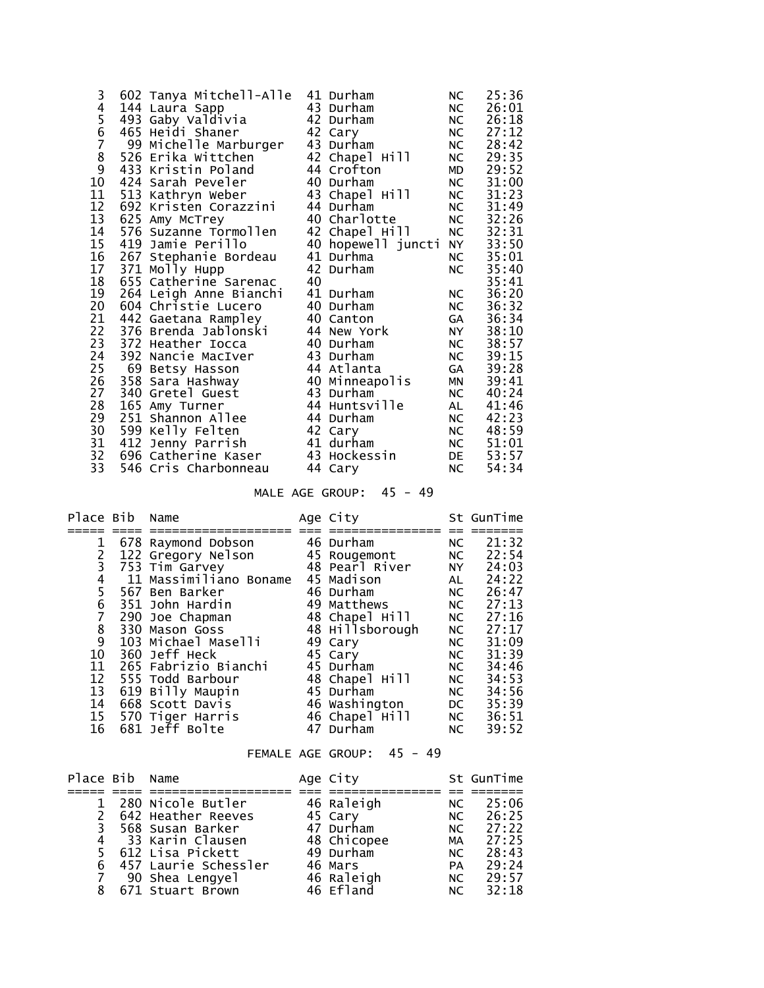| 3     | 602 Tanya Mitchell-Alle |    | 41 Durham          | <b>NC</b> | 25:36 |
|-------|-------------------------|----|--------------------|-----------|-------|
| 4     | 144 Laura Sapp          |    | 43 Durham          | NC        | 26:01 |
|       | 493 Gaby Valdivia       |    | 42 Durham          | <b>NC</b> | 26:18 |
|       | 465 Heidi Shaner        |    | 42 Cary            | NC        | 27:12 |
| 56789 | 99 Michelle Marburger   |    | 43 Durham          | NC        | 28:42 |
|       | 526 Erika Wittchen      |    | 42 Chapel Hill     | NC        | 29:35 |
|       | 433 Kristin Poland      |    | 44 Crofton         | MD        | 29:52 |
| 10    | 424 Sarah Peveler       |    | 40 Durham          | NC        | 31:00 |
| 11    | 513 Kathryn Weber       |    | 43 Chapel Hill     | NC        | 31:23 |
| 12    | 692 Kristen Corazzini   |    | 44 Durham          | <b>NC</b> | 31:49 |
| 13    | 625 Amy McTrey          |    | 40 Charlotte       | NC        | 32:26 |
| 14    | 576 Suzanne Tormollen   |    | 42 Chapel Hill     | NC        | 32:31 |
| 15    | 419 Jamie Perillo       |    | 40 hopewell juncti | NY 1      | 33:50 |
| 16    | 267 Stephanie Bordeau   |    | 41 Durhma          | NC        | 35:01 |
| 17    | 371 Molly Hupp          |    | 42 Durham          | NC        | 35:40 |
| 18    | 655 Catherine Sarenac   | 40 |                    |           | 35:41 |
| 19    | 264 Leigh Anne Bianchi  |    | 41 Durham          | NC        | 36:20 |
| 20    | 604 Christie Lucero     |    | 40 Durham          | NC        | 36:32 |
| 21    | 442 Gaetana Rampley     |    | 40 Canton          | GA        | 36:34 |
| 22    | 376 Brenda Jablonski    |    | 44 New York        | NY N      | 38:10 |
| 23    | 372 Heather Iocca       |    | 40 Durham          | NC        | 38:57 |
| 24    | 392 Nancie MacIver      |    | 43 Durham          | NC        | 39:15 |
| 25    | 69 Betsy Hasson         |    | 44 Atlanta         | GA        | 39:28 |
| 26    | 358 Sara Hashway        |    | 40 Minneapolis     | <b>MN</b> | 39:41 |
| 27    | 340 Gretel Guest        |    | 43 Durham          | NC        | 40:24 |
| 28    | 165 Amy Turner          |    | 44 Huntsville      | AL        | 41:46 |
| 29    | 251 Shannon Allee       |    | 44 Durham          | NC        | 42:23 |
| 30    | 599 Kelly Felten        |    | 42 Cary            | NC        | 48:59 |
| 31    | 412 Jenny Parrish       |    | 41 durham          | NC        | 51:01 |
| 32    | 696 Catherine Kaser     |    | 43 Hockessin       | DE        | 53:57 |
| 33    | 546 Cris Charbonneau    |    | 44 Cary            | NC        | 54:34 |

# MALE AGE GROUP: 45 - 49

| Place Bib      | Name                   | Age City        |                                                                                                                                                                                                                                | St GunTime |
|----------------|------------------------|-----------------|--------------------------------------------------------------------------------------------------------------------------------------------------------------------------------------------------------------------------------|------------|
|                |                        |                 |                                                                                                                                                                                                                                |            |
|                | 678 Raymond Dobson     | 46 Durham       | NC                                                                                                                                                                                                                             | 21:32      |
| 2              | 122 Gregory Nelson     | 45 Rougemont    | NC                                                                                                                                                                                                                             | 22:54      |
| 3              | 753 Tim Garvey         | 48 Pearl River  | NY N                                                                                                                                                                                                                           | 24:03      |
| 4              | 11 Massimiliano Boname | 45 Madison      | AL                                                                                                                                                                                                                             | 24:22      |
| 5              | 567 Ben Barker         | 46 Durham       | NC                                                                                                                                                                                                                             | 26:47      |
| 6              | 351 John Hardin        | 49 Matthews     | NC                                                                                                                                                                                                                             | 27:13      |
| $\overline{7}$ | 290 Joe Chapman        | 48 Chapel Hill  | NC                                                                                                                                                                                                                             | 27:16      |
| $\frac{8}{9}$  | 330 Mason Goss         | 48 Hillsborough | NC                                                                                                                                                                                                                             | 27:17      |
|                | 103 Michael Maselli    | 49 Cary         | NC                                                                                                                                                                                                                             | 31:09      |
| 10             | 360 Jeff Heck          | 45 Cary         | NC                                                                                                                                                                                                                             | 31:39      |
| 11             | 265 Fabrizio Bianchi   | 45 Durham       | NC                                                                                                                                                                                                                             | 34:46      |
| 12             | 555 Todd Barbour       | 48 Chapel Hill  | NC                                                                                                                                                                                                                             | 34:53      |
| 13             | 619 Billy Maupin       | 45 Durham       | NC                                                                                                                                                                                                                             | 34:56      |
| 14             | 668 Scott Davis        | 46 Washington   | DC and the set of the set of the set of the set of the set of the set of the set of the set of the set of the set of the set of the set of the set of the set of the set of the set of the set of the set of the set of the se | 35:39      |
| 15             | 570 Tiger Harris       | 46 Chapel Hill  | NC                                                                                                                                                                                                                             | 36:51      |
| 16             | 681 Jeff Bolte         | 47 Durham       | NC.                                                                                                                                                                                                                            | 39:52      |

#### FEMALE AGE GROUP: 45 - 49

| Place Bib Name |                        | Age City    |           | St GunTime |
|----------------|------------------------|-------------|-----------|------------|
|                |                        |             |           |            |
|                | 280 Nicole Butler      | 46 Raleigh  | NC.       | 25:06      |
|                | 642 Heather Reeves     | 45 Cary     |           | NC 26:25   |
| 3              | 568 Susan Barker       | 47 Durham   | NC .      | 27:22      |
|                | 4 33 Karin Clausen     | 48 Chicopee | MA        | 27:25      |
|                | 5 612 Lisa Pickett     | 49 Durham   | NC.       | 28:43      |
|                | 6 457 Laurie Schessler | 46 Mars     | <b>PA</b> | 29:24      |
|                | 90 Shea Lengyel        | 46 Raleigh  | NC .      | 29:57      |
| 8              | 671 Stuart Brown       | 46 Efland   | NC.       | 32:18      |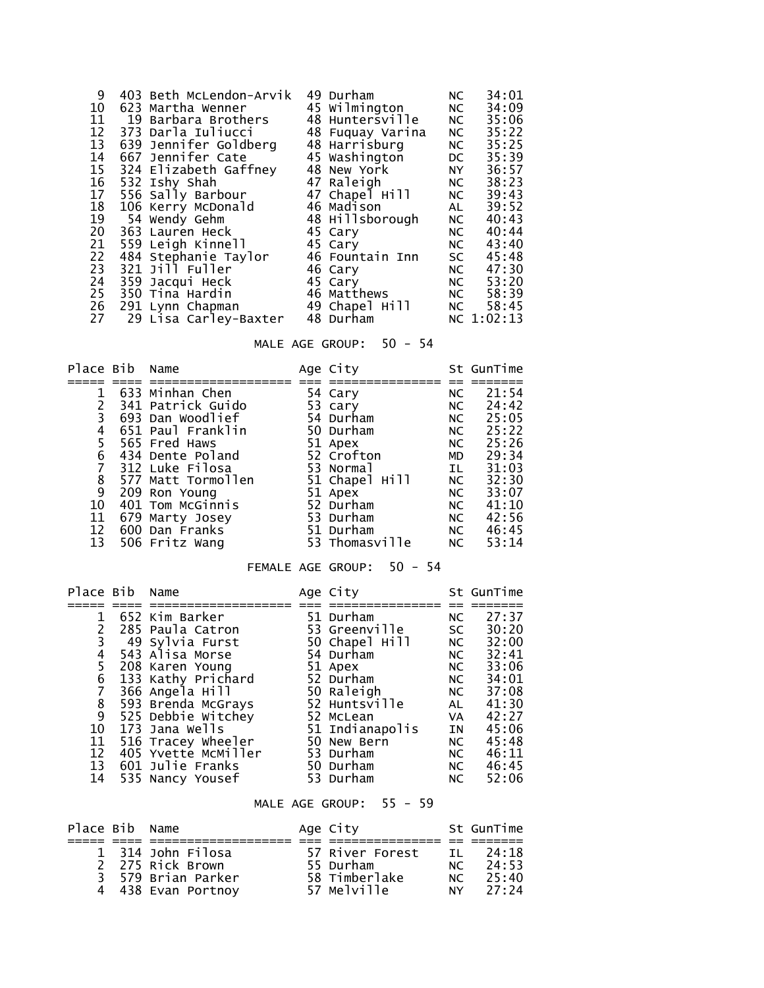| 9               | 403 Beth McLendon-Arvik | 49 Durham        | NC        | 34:01      |
|-----------------|-------------------------|------------------|-----------|------------|
| 10              | 623 Martha Wenner       | 45 Wilmington    | NC        | 34:09      |
| 11              | 19 Barbara Brothers     | 48 Huntersville  | NC        | 35:06      |
| 12              | 373 Darla Iuliucci      | 48 Fuquay Varina | NC        | 35:22      |
| 13              | 639 Jennifer Goldberg   | 48 Harrisburg    | NC        | 35:25      |
| 14              | 667 Jennifer Cate       | 45 Washington    | DC        | 35:39      |
| 15 <sub>1</sub> | 324 Elizabeth Gaffney   | 48 New York      | NY 1      | 36:57      |
| 16              | 532 Ishy Shah           | 47 Raleigh       | NC        | 38:23      |
| 17              | 556 Sally Barbour       | 47 Chapel Hill   | NC        | 39:43      |
| 18              | 106 Kerry McDonald      | 46 Madison       | AL        | 39:52      |
| 19              | 54 Wendy Gehm           | 48 Hillsborough  | NC        | 40:43      |
| 20              | 363 Lauren Heck         | 45 Cary          | NC        | 40:44      |
| 21              | 559 Leigh Kinnell       | 45 Cary          | NC        | 43:40      |
| 22              | 484 Stephanie Taylor    | 46 Fountain Inn  | <b>SC</b> | 45:48      |
| 23              | 321 Jill Fuller         | 46 Cary          | NC        | 47:30      |
| 24              | 359 Jacqui Heck         | 45 Cary          | NC        | 53:20      |
| 25              | 350 Tina Hardin         | 46 Matthews      | NC        | 58:39      |
| 26              | 291 Lynn Chapman        | 49 Chapel Hill   | NC        | 58:45      |
| 27              | 29 Lisa Carley-Baxter   | 48 Durham        |           | NC 1:02:13 |

# MALE AGE GROUP: 50 - 54

| Place Bib      | Name               | Age City       |           | St GunTime |
|----------------|--------------------|----------------|-----------|------------|
|                |                    |                |           |            |
|                | 633 Minhan Chen    | 54 Cary        | NC        | 21:54      |
|                | 341 Patrick Guido  | 53 cary        | NC        | 24:42      |
| $\overline{3}$ | 693 Dan Woodlief   | 54 Durham      | NC        | 25:05      |
| 4              | 651 Paul Franklin  | 50 Durham      | NC        | 25:22      |
| 5              | 565 Fred Haws      | 51 Apex        | NC        | 25:26      |
| 6              | 434 Dente Poland   | 52 Crofton     | <b>MD</b> | 29:34      |
|                | 312 Luke Filosa    | 53 Normal      | IL.       | 31:03      |
| 8              | 577 Matt Tormollen | 51 Chapel Hill | NC        | 32:30      |
| 9              | 209 Ron Young      | 51 Apex        | NC        | 33:07      |
| 10             | 401 Tom McGinnis   | 52 Durham      | <b>NC</b> | 41:10      |
| 11             | 679 Marty Josey    | 53 Durham      | NC.       | 42:56      |
| 12             | 600 Dan Franks     | 51 Durham      | NC        | 46:45      |
| 13             | 506 Fritz Wang     | 53 Thomasville | NC        | 53:14      |

#### FEMALE AGE GROUP: 50 - 54

| Place Bib | Name                | Age City        |      | St GunTime |
|-----------|---------------------|-----------------|------|------------|
|           |                     |                 |      |            |
| 1         | 652 Kim Barker      | 51 Durham       | NC . | 27:37      |
| 2         | 285 Paula Catron    | 53 Greenville   | SC   | 30:20      |
|           | 3 49 Sylvia Furst   | 50 Chapel Hill  | NC   | 32:00      |
| 4         | 543 Alisa Morse     | 54 Durham       | NC   | 32:41      |
| 5         | 208 Karen Young     | 51 Apex         | NC   | 33:06      |
| 6         | 133 Kathy Prichard  | 52 Durham       | NC   | 34:01      |
|           | 366 Angela Hill     | 50 Raleigh      | NC   | 37:08      |
| 8         | 593 Brenda McGrays  | 52 Huntsville   | AL   | 41:30      |
| 9         | 525 Debbie Witchey  | 52 McLean       | VA 1 | 42:27      |
| 10        | 173 Jana Wells      | 51 Indianapolis | IN   | 45:06      |
| 11        | 516 Tracey Wheeler  | 50 New Bern     | NC   | 45:48      |
| 12        | 405 Yvette McMiller | 53 Durham       | NC   | 46:11      |
| 13        | 601 Julie Franks    | 50 Durham       | NC   | 46:45      |
| 14        | 535 Nancy Yousef    | 53 Durham       | NC.  | 52:06      |

# MALE AGE GROUP: 55 - 59

| Place Bib Name |                    | Age City        |                | St GunTime |
|----------------|--------------------|-----------------|----------------|------------|
|                |                    |                 |                |            |
|                | 1 314 John Filosa  | 57 River Forest | TΙ             | 24:18      |
|                | 2 275 Rick Brown   | 55 Durham       | NC             | 24:53      |
|                | 3 579 Brian Parker | 58 Timberlake   | NC             | 25:40      |
|                | 4 438 Evan Portnoy | 57 Melville     | N <sup>2</sup> | 27:24      |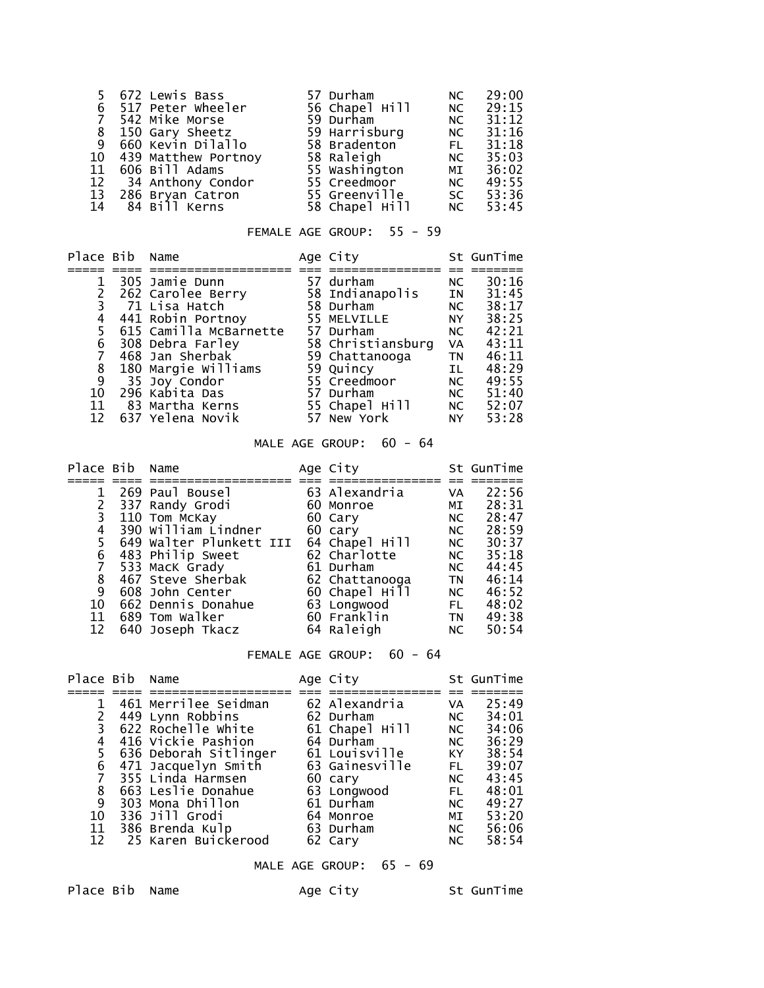|    | 5 672 Lewis Bass       | 57 Durham      | NC.       | 29:00 |
|----|------------------------|----------------|-----------|-------|
|    | 6 517 Peter wheeler    | 56 Chapel Hill | NC        | 29:15 |
|    | 7 542 Mike Morse       | 59 Durham      | <b>NC</b> | 31:12 |
|    | 8 150 Gary Sheetz      | 59 Harrisburg  | <b>NC</b> | 31:16 |
|    | 9 660 Kevin Dilallo    | 58 Bradenton   | <b>FL</b> | 31:18 |
|    | 10 439 Matthew Portnoy | 58 Raleigh     | NC        | 35:03 |
|    | 11 606 Bill Adams      | 55 Washington  | MI        | 36:02 |
|    | 12 34 Anthony Condor   | 55 Creedmoor   | NC 1      | 49:55 |
|    | 13 286 Bryan Catron    | 55 Greenville  | SC        | 53:36 |
| 14 | 84 Bill Kerns          | 58 Chapel Hill | NC        | 53:45 |

# FEMALE AGE GROUP: 55 - 59

| Place Bib Name |                        | Age City          |           | St GunTime |
|----------------|------------------------|-------------------|-----------|------------|
|                |                        |                   |           |            |
|                | 305 Jamie Dunn         | 57 durham         | NC.       | 30:16      |
|                | 262 Carolee Berry      | 58 Indianapolis   | IN        | 31:45      |
|                | 71 Lisa Hatch          | 58 Durham         | NC .      | 38:17      |
| 4              | 441 Robin Portnoy      | 55 MELVILLE       | <b>NY</b> | 38:25      |
| 5.             | 615 Camilla McBarnette | 57 Durham         | NC.       | 42:21      |
| 6              | 308 Debra Farley       | 58 Christiansburg | VA        | 43:11      |
|                | 468 Jan Sherbak        | 59 Chattanooga    | <b>TN</b> | 46:11      |
| 8              | 180 Margie Williams    | 59 Quincy         | IL.       | 48:29      |
| 9              | 35 Joy Condor          | 55 Creedmoor      | NC.       | 49:55      |
| 10             | 296 Kabita Das         | 57 Durham         | NC .      | 51:40      |
| 11             | 83 Martha Kerns        | 55 Chapel Hill    | NC        | 52:07      |
| 12             | 637 Yelena Novik       | 57 New York       | NY.       | 53:28      |

# MALE AGE GROUP: 60 - 64

| Place Bib | Name                    | Age City       |           | St GunTime |
|-----------|-------------------------|----------------|-----------|------------|
|           |                         |                |           |            |
|           | 269 Paul Bousel         | 63 Alexandria  | VA        | 22:56      |
|           | 337 Randy Grodi         | 60 Monroe      | MI        | 28:31      |
| 3         | 110 Tom McKay           | 60 Cary        | NC        | 28:47      |
| 4         | 390 William Lindner     | 60 cary        | NC        | 28:59      |
| 5         | 649 Walter Plunkett III | 64 Chapel Hill | NC        | 30:37      |
| 6         | 483 Philip Sweet        | 62 Charlotte   | NC        | 35:18      |
|           | 533 MacK Grady          | 61 Durham      | NC .      | 44:45      |
| 8         | 467 Steve Sherbak       | 62 Chattanooga | <b>TN</b> | 46:14      |
| 9         | 608 John Center         | 60 Chapel Hill | NC .      | 46:52      |
| 10        | 662 Dennis Donahue      | 63 Longwood    | FL.       | 48:02      |
| 11        | 689 Tom Walker          | 60 Franklin    | <b>TN</b> | 49:38      |
| 12        | 640 Joseph Tkacz        | 64 Raleigh     | NC.       | 50:54      |

#### FEMALE AGE GROUP: 60 - 64

| Place Bib Name |                       | Age City       |      | St GunTime |
|----------------|-----------------------|----------------|------|------------|
|                |                       |                |      |            |
|                | 461 Merrilee Seidman  | 62 Alexandria  | VA   | 25:49      |
|                | 449 Lynn Robbins      | 62 Durham      | NC   | 34:01      |
|                | 622 Rochelle white    | 61 Chapel Hill | NC   | 34:06      |
| 4              | 416 Vickie Pashion    | 64 Durham      | NC   | 36:29      |
| 5.             | 636 Deborah Sitlinger | 61 Louisville  | KY I | 38:54      |
| 6              | 471 Jacquelyn Smith   | 63 Gainesville | FL.  | 39:07      |
|                | 355 Linda Harmsen     | 60 cary        | NC . | 43:45      |
| 8              | 663 Leslie Donahue    | 63 Longwood    | FL.  | 48:01      |
| 9              | 303 Mona Dhillon      | 61 Durham      | NC.  | 49:27      |
| 10             | 336 Jill Grodi        | 64 Monroe      | MI   | 53:20      |
| 11             | 386 Brenda Kulp       | 63 Durham      | NC   | 56:06      |
| 12             | 25 Karen Buickerood   | 62 Cary        | NC   | 58:54      |

MALE AGE GROUP: 65 - 69

Place Bib Name Age City St GunTime